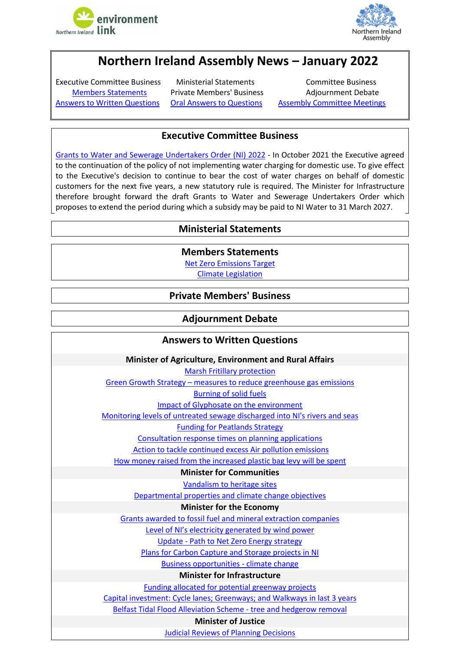



# **Northern Ireland Assembly News – January 2022**

<span id="page-0-2"></span>Executive Committee Business Ministerial Statements Committee Business [Answers to Written Questions](#page-0-1) [Oral Answers to Questions](#page-1-0) [Assembly Committee Meetings](#page-1-1)

[Members Statements](#page-0-0) Private Members' Business Adjournment Debate

## **Executive Committee Business**

<span id="page-0-0"></span>[Grants to Water and Sewerage Undertakers Order \(NI\) 2022](http://aims.niassembly.gov.uk/officialreport/report.aspx?&eveDate=2022/01/24&docID=364350#3872517) - In October 2021 the Executive agreed to the continuation of the policy of not implementing water charging for domestic use. To give effect to the Executive's decision to continue to bear the cost of water charges on behalf of domestic customers for the next five years, a new statutory rule is required. The Minister for Infrastructure therefore brought forward the draft Grants to Water and Sewerage Undertakers Order which proposes to extend the period during which a subsidy may be paid to NI Water to 31 March 2027.

# **Ministerial Statements**

**Members Statements**

[Net Zero Emissions Target](http://aims.niassembly.gov.uk/officialreport/report.aspx?&eveDate=2022/01/24&docID=364350#3872346)

[Climate Legislation](http://aims.niassembly.gov.uk/officialreport/report.aspx?&eveDate=2022-01-31&docID=365157#3883213)

### **Private Members' Business**

### **Adjournment Debate**

### **Answers to Written Questions**

#### **Minister of Agriculture, Environment and Rural Affairs**

[Marsh Fritillary protection](http://aims.niassembly.gov.uk/questions/printquestionsummary.aspx?docid=362968)

<span id="page-0-1"></span>Green Growth Strategy – [measures to reduce greenhouse gas](http://aims.niassembly.gov.uk/questions/printquestionsummary.aspx?docid=362887) emissions

[Burning of solid fuels](http://aims.niassembly.gov.uk/questions/printquestionsummary.aspx?docid=363439)

Impact of [Glyphosate on the environment](http://aims.niassembly.gov.uk/questions/printquestionsummary.aspx?docid=361199)

[Monitoring levels of untreated sewage discharged into NI's rivers](http://aims.niassembly.gov.uk/questions/printquestionsummary.aspx?docid=361010) and seas

[Funding for Peatlands Strategy](http://aims.niassembly.gov.uk/questions/printquestionsummary.aspx?docid=360128)

[Consultation response times on planning applications](http://aims.niassembly.gov.uk/questions/printquestionsummary.aspx?docid=362111)

Action to tackle continued [excess Air pollution emissions](http://aims.niassembly.gov.uk/questions/printquestionsummary.aspx?docid=362105)

[How money raised from the increased plastic bag levy will be spent](http://aims.niassembly.gov.uk/questions/printquestionsummary.aspx?docid=360802)

#### **Minister for Communities**

[Vandalism to heritage sites](http://aims.niassembly.gov.uk/questions/printquestionsummary.aspx?docid=362979)

Departmental properties and [climate change objectives](http://aims.niassembly.gov.uk/questions/printquestionsummary.aspx?docid=363327)

#### **Minister for the Economy**

[Grants awarded to fossil fuel and mineral extraction companies](http://aims.niassembly.gov.uk/questions/printquestionsummary.aspx?docid=360961)

Level of NI['s electricity generated by wind power](http://aims.niassembly.gov.uk/questions/printquestionsummary.aspx?docid=363325)

Update - [Path to Net Zero Energy strategy](http://aims.niassembly.gov.uk/questions/printquestionsummary.aspx?docid=365682)

[Plans for Carbon Capture and Storage projects](http://aims.niassembly.gov.uk/questions/printquestionsummary.aspx?docid=351945) in NI

[Business opportunities -](http://aims.niassembly.gov.uk/questions/printquestionsummary.aspx?docid=350392) climate change

#### **Minister for Infrastructure**

[Funding allocated for potential greenway projects](http://aims.niassembly.gov.uk/questions/printquestionsummary.aspx?docid=364252)

[Capital investment: Cycle lanes; Greenways; and Walkways in last 3](http://aims.niassembly.gov.uk/questions/printquestionsummary.aspx?docid=361656) years [Belfast Tidal Flood Alleviation Scheme -](http://aims.niassembly.gov.uk/questions/printquestionsummary.aspx?docid=363695) tree and hedgerow removal

#### **Minister of Justice**

[Judicial Reviews of Planning Decisions](http://aims.niassembly.gov.uk/questions/printquestionsummary.aspx?docid=362219)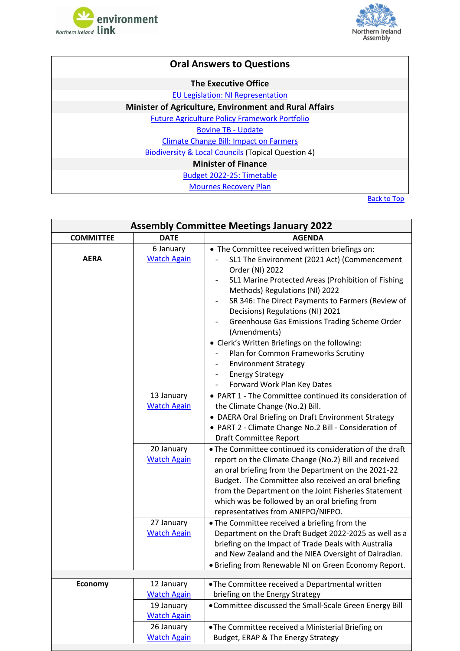



<span id="page-1-0"></span>

| <b>Oral Answers to Questions</b>                              |
|---------------------------------------------------------------|
| <b>The Executive Office</b>                                   |
| <b>EU Legislation: NI Representation</b>                      |
| <b>Minister of Agriculture, Environment and Rural Affairs</b> |
| <b>Future Agriculture Policy Framework Portfolio</b>          |
| <b>Bovine TB - Update</b>                                     |
| <b>Climate Change Bill: Impact on Farmers</b>                 |
| <b>Biodiversity &amp; Local Councils (Topical Question 4)</b> |
| <b>Minister of Finance</b>                                    |
| Budget 2022-25: Timetable                                     |
| <b>Mournes Recovery Plan</b>                                  |

[Back to Top](#page-0-2)

<span id="page-1-1"></span>

| <b>Assembly Committee Meetings January 2022</b> |                                                        |                                                                                                                                                                                                                                                                                                                                                                                                                                                                                                                      |  |
|-------------------------------------------------|--------------------------------------------------------|----------------------------------------------------------------------------------------------------------------------------------------------------------------------------------------------------------------------------------------------------------------------------------------------------------------------------------------------------------------------------------------------------------------------------------------------------------------------------------------------------------------------|--|
| <b>COMMITTEE</b>                                | <b>DATE</b>                                            | <b>AGENDA</b>                                                                                                                                                                                                                                                                                                                                                                                                                                                                                                        |  |
| <b>AERA</b>                                     | 6 January<br><b>Watch Again</b>                        | • The Committee received written briefings on:<br>SL1 The Environment (2021 Act) (Commencement<br>Order (NI) 2022<br>SL1 Marine Protected Areas (Prohibition of Fishing<br>Methods) Regulations (NI) 2022<br>SR 346: The Direct Payments to Farmers (Review of<br>Decisions) Regulations (NI) 2021<br>Greenhouse Gas Emissions Trading Scheme Order<br>(Amendments)<br>• Clerk's Written Briefings on the following:<br>Plan for Common Frameworks Scrutiny<br><b>Environment Strategy</b><br><b>Energy Strategy</b> |  |
|                                                 | 13 January<br><b>Watch Again</b>                       | Forward Work Plan Key Dates<br>• PART 1 - The Committee continued its consideration of<br>the Climate Change (No.2) Bill.<br>• DAERA Oral Briefing on Draft Environment Strategy<br>• PART 2 - Climate Change No.2 Bill - Consideration of<br><b>Draft Committee Report</b>                                                                                                                                                                                                                                          |  |
|                                                 | 20 January<br><b>Watch Again</b>                       | • The Committee continued its consideration of the draft<br>report on the Climate Change (No.2) Bill and received<br>an oral briefing from the Department on the 2021-22<br>Budget. The Committee also received an oral briefing<br>from the Department on the Joint Fisheries Statement<br>which was be followed by an oral briefing from<br>representatives from ANIFPO/NIFPO.                                                                                                                                     |  |
|                                                 | 27 January<br><b>Watch Again</b>                       | • The Committee received a briefing from the<br>Department on the Draft Budget 2022-2025 as well as a<br>briefing on the Impact of Trade Deals with Australia<br>and New Zealand and the NIEA Oversight of Dalradian.<br>· Briefing from Renewable NI on Green Economy Report.                                                                                                                                                                                                                                       |  |
|                                                 |                                                        |                                                                                                                                                                                                                                                                                                                                                                                                                                                                                                                      |  |
| Economy                                         | 12 January<br><b>Watch Again</b><br>19 January         | . The Committee received a Departmental written<br>briefing on the Energy Strategy<br>• Committee discussed the Small-Scale Green Energy Bill                                                                                                                                                                                                                                                                                                                                                                        |  |
|                                                 | <b>Watch Again</b><br>26 January<br><b>Watch Again</b> | . The Committee received a Ministerial Briefing on<br>Budget, ERAP & The Energy Strategy                                                                                                                                                                                                                                                                                                                                                                                                                             |  |